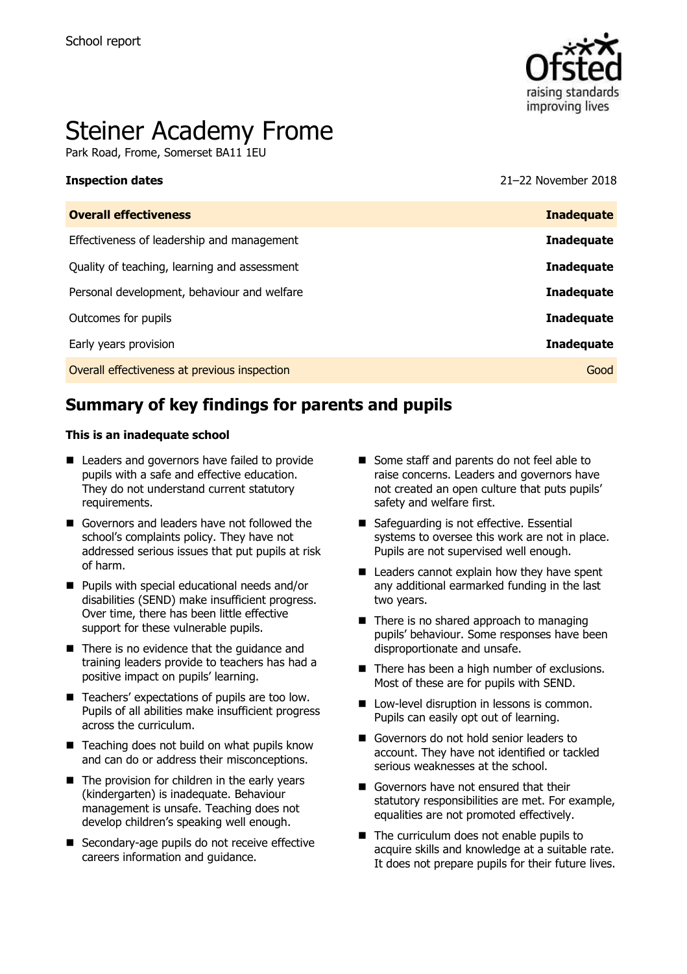

# Steiner Academy Frome

Park Road, Frome, Somerset BA11 1EU

**Inspection dates** 21–22 November 2018

| <b>Overall effectiveness</b>                 | <b>Inadequate</b> |
|----------------------------------------------|-------------------|
| Effectiveness of leadership and management   | <b>Inadequate</b> |
| Quality of teaching, learning and assessment | <b>Inadequate</b> |
| Personal development, behaviour and welfare  | <b>Inadequate</b> |
| Outcomes for pupils                          | <b>Inadequate</b> |
| Early years provision                        | <b>Inadequate</b> |
| Overall effectiveness at previous inspection | Good              |
|                                              |                   |

## **Summary of key findings for parents and pupils**

#### **This is an inadequate school**

- Leaders and governors have failed to provide pupils with a safe and effective education. They do not understand current statutory requirements.
- Governors and leaders have not followed the school's complaints policy. They have not addressed serious issues that put pupils at risk of harm.
- **Pupils with special educational needs and/or** disabilities (SEND) make insufficient progress. Over time, there has been little effective support for these vulnerable pupils.
- There is no evidence that the quidance and training leaders provide to teachers has had a positive impact on pupils' learning.
- Teachers' expectations of pupils are too low. Pupils of all abilities make insufficient progress across the curriculum.
- $\blacksquare$  Teaching does not build on what pupils know and can do or address their misconceptions.
- $\blacksquare$  The provision for children in the early years (kindergarten) is inadequate. Behaviour management is unsafe. Teaching does not develop children's speaking well enough.
- Secondary-age pupils do not receive effective careers information and guidance.
- Some staff and parents do not feel able to raise concerns. Leaders and governors have not created an open culture that puts pupils' safety and welfare first.
- Safeguarding is not effective. Essential systems to oversee this work are not in place. Pupils are not supervised well enough.
- Leaders cannot explain how they have spent any additional earmarked funding in the last two years.
- $\blacksquare$  There is no shared approach to managing pupils' behaviour. Some responses have been disproportionate and unsafe.
- There has been a high number of exclusions. Most of these are for pupils with SEND.
- **Low-level disruption in lessons is common.** Pupils can easily opt out of learning.
- Governors do not hold senior leaders to account. They have not identified or tackled serious weaknesses at the school.
- Governors have not ensured that their statutory responsibilities are met. For example, equalities are not promoted effectively.
- The curriculum does not enable pupils to acquire skills and knowledge at a suitable rate. It does not prepare pupils for their future lives.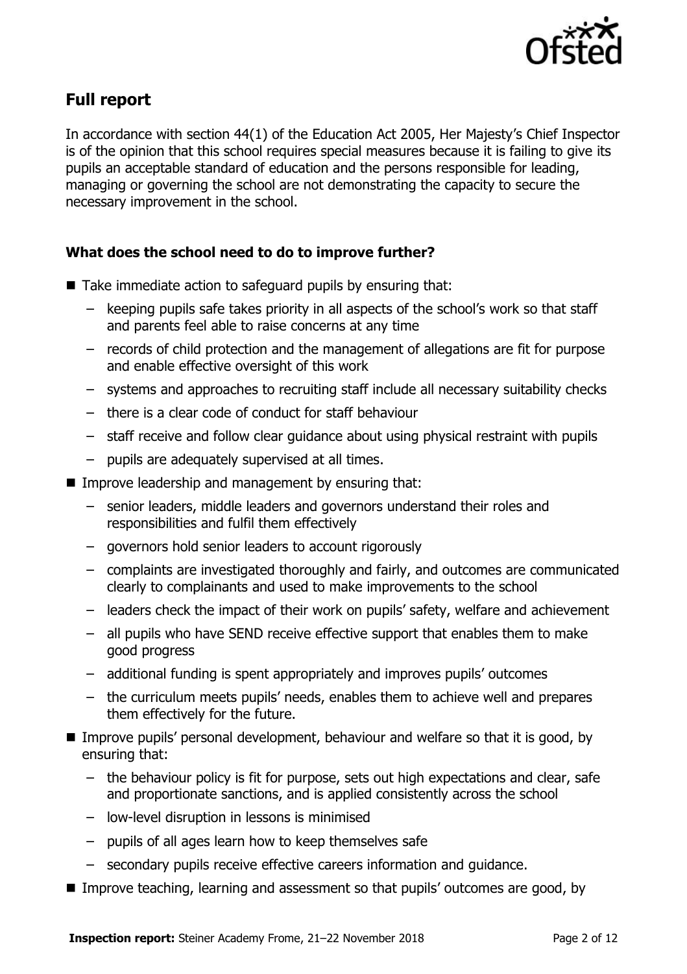

## **Full report**

In accordance with section 44(1) of the Education Act 2005, Her Majesty's Chief Inspector is of the opinion that this school requires special measures because it is failing to give its pupils an acceptable standard of education and the persons responsible for leading, managing or governing the school are not demonstrating the capacity to secure the necessary improvement in the school.

### **What does the school need to do to improve further?**

- Take immediate action to safeguard pupils by ensuring that:
	- keeping pupils safe takes priority in all aspects of the school's work so that staff and parents feel able to raise concerns at any time
	- records of child protection and the management of allegations are fit for purpose and enable effective oversight of this work
	- systems and approaches to recruiting staff include all necessary suitability checks
	- there is a clear code of conduct for staff behaviour
	- staff receive and follow clear guidance about using physical restraint with pupils
	- pupils are adequately supervised at all times.
- $\blacksquare$  Improve leadership and management by ensuring that:
	- senior leaders, middle leaders and governors understand their roles and responsibilities and fulfil them effectively
	- governors hold senior leaders to account rigorously
	- complaints are investigated thoroughly and fairly, and outcomes are communicated clearly to complainants and used to make improvements to the school
	- leaders check the impact of their work on pupils' safety, welfare and achievement
	- all pupils who have SEND receive effective support that enables them to make good progress
	- additional funding is spent appropriately and improves pupils' outcomes
	- the curriculum meets pupils' needs, enables them to achieve well and prepares them effectively for the future.
- Improve pupils' personal development, behaviour and welfare so that it is good, by ensuring that:
	- the behaviour policy is fit for purpose, sets out high expectations and clear, safe and proportionate sanctions, and is applied consistently across the school
	- low-level disruption in lessons is minimised
	- pupils of all ages learn how to keep themselves safe
	- secondary pupils receive effective careers information and guidance.
- Improve teaching, learning and assessment so that pupils' outcomes are good, by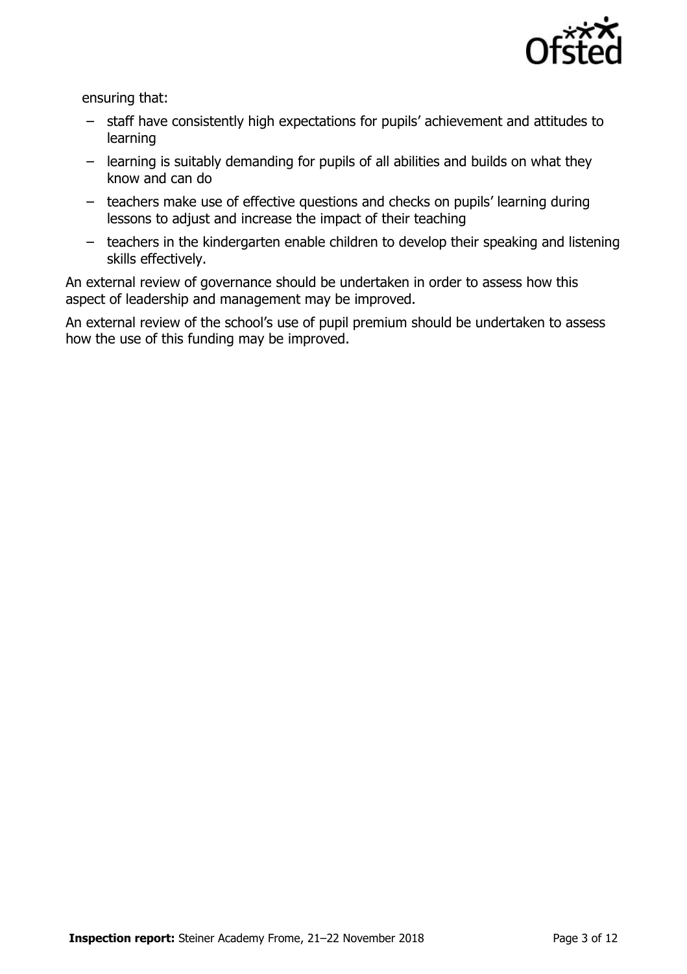

ensuring that:

- staff have consistently high expectations for pupils' achievement and attitudes to learning
- learning is suitably demanding for pupils of all abilities and builds on what they know and can do
- teachers make use of effective questions and checks on pupils' learning during lessons to adjust and increase the impact of their teaching
- teachers in the kindergarten enable children to develop their speaking and listening skills effectively.

An external review of governance should be undertaken in order to assess how this aspect of leadership and management may be improved.

An external review of the school's use of pupil premium should be undertaken to assess how the use of this funding may be improved.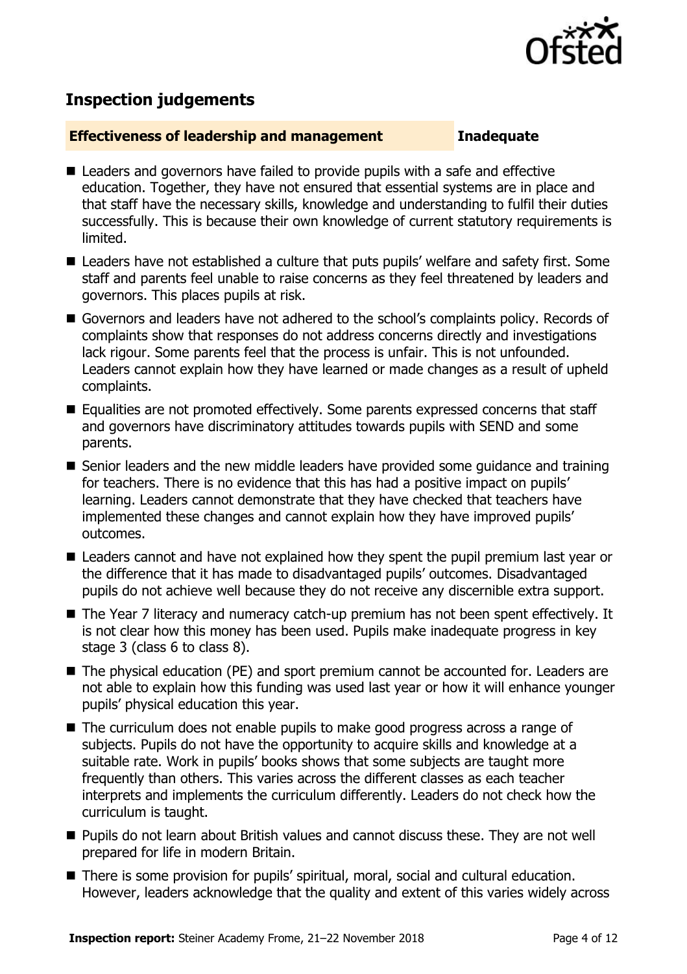

## **Inspection judgements**

#### **Effectiveness of leadership and management Inadequate**

- Leaders and governors have failed to provide pupils with a safe and effective education. Together, they have not ensured that essential systems are in place and that staff have the necessary skills, knowledge and understanding to fulfil their duties successfully. This is because their own knowledge of current statutory requirements is limited.
- Leaders have not established a culture that puts pupils' welfare and safety first. Some staff and parents feel unable to raise concerns as they feel threatened by leaders and governors. This places pupils at risk.
- Governors and leaders have not adhered to the school's complaints policy. Records of complaints show that responses do not address concerns directly and investigations lack rigour. Some parents feel that the process is unfair. This is not unfounded. Leaders cannot explain how they have learned or made changes as a result of upheld complaints.
- Equalities are not promoted effectively. Some parents expressed concerns that staff and governors have discriminatory attitudes towards pupils with SEND and some parents.
- Senior leaders and the new middle leaders have provided some quidance and training for teachers. There is no evidence that this has had a positive impact on pupils' learning. Leaders cannot demonstrate that they have checked that teachers have implemented these changes and cannot explain how they have improved pupils' outcomes.
- Leaders cannot and have not explained how they spent the pupil premium last year or the difference that it has made to disadvantaged pupils' outcomes. Disadvantaged pupils do not achieve well because they do not receive any discernible extra support.
- The Year 7 literacy and numeracy catch-up premium has not been spent effectively. It is not clear how this money has been used. Pupils make inadequate progress in key stage 3 (class 6 to class 8).
- The physical education (PE) and sport premium cannot be accounted for. Leaders are not able to explain how this funding was used last year or how it will enhance younger pupils' physical education this year.
- The curriculum does not enable pupils to make good progress across a range of subjects. Pupils do not have the opportunity to acquire skills and knowledge at a suitable rate. Work in pupils' books shows that some subjects are taught more frequently than others. This varies across the different classes as each teacher interprets and implements the curriculum differently. Leaders do not check how the curriculum is taught.
- Pupils do not learn about British values and cannot discuss these. They are not well prepared for life in modern Britain.
- There is some provision for pupils' spiritual, moral, social and cultural education. However, leaders acknowledge that the quality and extent of this varies widely across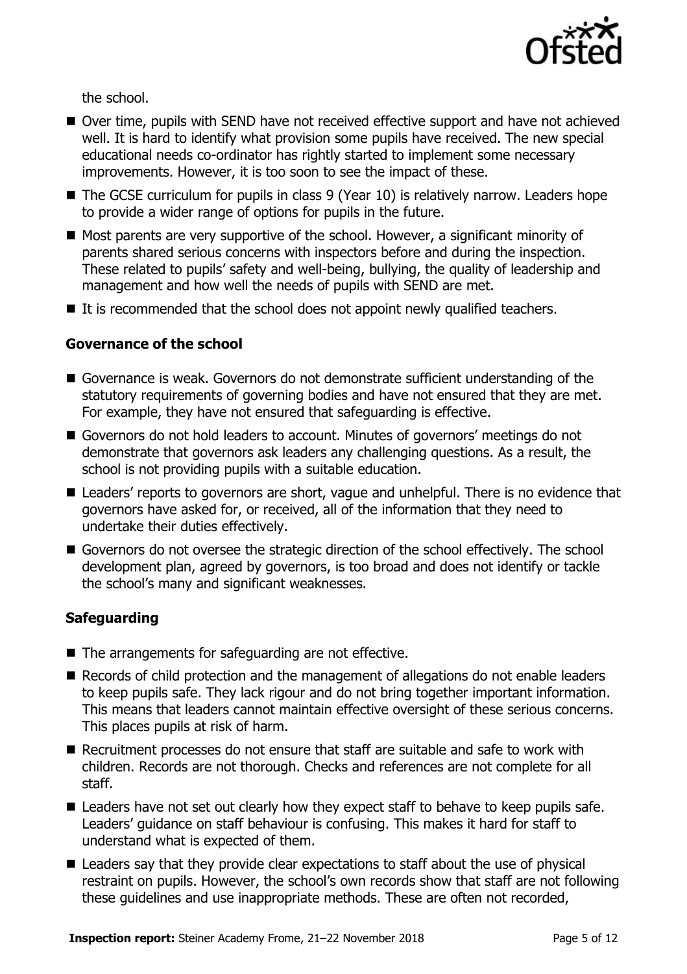

the school.

- Over time, pupils with SEND have not received effective support and have not achieved well. It is hard to identify what provision some pupils have received. The new special educational needs co-ordinator has rightly started to implement some necessary improvements. However, it is too soon to see the impact of these.
- The GCSE curriculum for pupils in class 9 (Year 10) is relatively narrow. Leaders hope to provide a wider range of options for pupils in the future.
- $\blacksquare$  Most parents are very supportive of the school. However, a significant minority of parents shared serious concerns with inspectors before and during the inspection. These related to pupils' safety and well-being, bullying, the quality of leadership and management and how well the needs of pupils with SEND are met.
- $\blacksquare$  It is recommended that the school does not appoint newly qualified teachers.

### **Governance of the school**

- Governance is weak. Governors do not demonstrate sufficient understanding of the statutory requirements of governing bodies and have not ensured that they are met. For example, they have not ensured that safeguarding is effective.
- Governors do not hold leaders to account. Minutes of governors' meetings do not demonstrate that governors ask leaders any challenging questions. As a result, the school is not providing pupils with a suitable education.
- Leaders' reports to governors are short, vague and unhelpful. There is no evidence that governors have asked for, or received, all of the information that they need to undertake their duties effectively.
- Governors do not oversee the strategic direction of the school effectively. The school development plan, agreed by governors, is too broad and does not identify or tackle the school's many and significant weaknesses.

### **Safeguarding**

- The arrangements for safeguarding are not effective.
- Records of child protection and the management of allegations do not enable leaders to keep pupils safe. They lack rigour and do not bring together important information. This means that leaders cannot maintain effective oversight of these serious concerns. This places pupils at risk of harm.
- Recruitment processes do not ensure that staff are suitable and safe to work with children. Records are not thorough. Checks and references are not complete for all staff.
- Leaders have not set out clearly how they expect staff to behave to keep pupils safe. Leaders' guidance on staff behaviour is confusing. This makes it hard for staff to understand what is expected of them.
- Leaders say that they provide clear expectations to staff about the use of physical restraint on pupils. However, the school's own records show that staff are not following these guidelines and use inappropriate methods. These are often not recorded,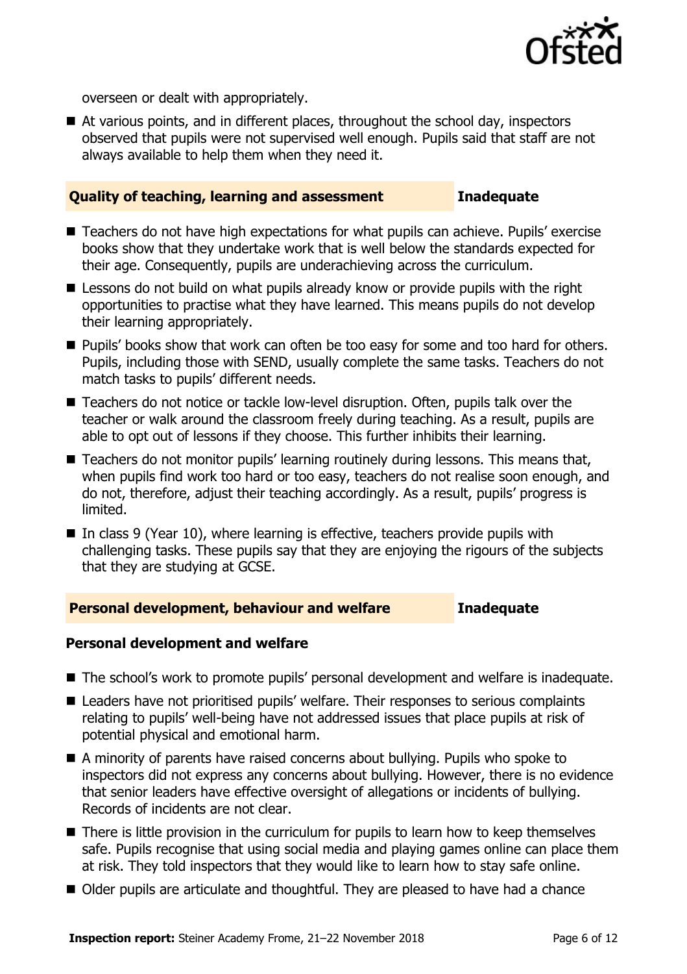

overseen or dealt with appropriately.

■ At various points, and in different places, throughout the school day, inspectors observed that pupils were not supervised well enough. Pupils said that staff are not always available to help them when they need it.

#### **Quality of teaching, learning and assessment Inadequate**

- Teachers do not have high expectations for what pupils can achieve. Pupils' exercise books show that they undertake work that is well below the standards expected for their age. Consequently, pupils are underachieving across the curriculum.
- **E** Lessons do not build on what pupils already know or provide pupils with the right opportunities to practise what they have learned. This means pupils do not develop their learning appropriately.
- **Pupils' books show that work can often be too easy for some and too hard for others.** Pupils, including those with SEND, usually complete the same tasks. Teachers do not match tasks to pupils' different needs.
- Teachers do not notice or tackle low-level disruption. Often, pupils talk over the teacher or walk around the classroom freely during teaching. As a result, pupils are able to opt out of lessons if they choose. This further inhibits their learning.
- Teachers do not monitor pupils' learning routinely during lessons. This means that, when pupils find work too hard or too easy, teachers do not realise soon enough, and do not, therefore, adjust their teaching accordingly. As a result, pupils' progress is limited.
- In class 9 (Year 10), where learning is effective, teachers provide pupils with challenging tasks. These pupils say that they are enjoying the rigours of the subjects that they are studying at GCSE.

#### **Personal development, behaviour and welfare Inadequate**

#### **Personal development and welfare**

- The school's work to promote pupils' personal development and welfare is inadequate.
- Leaders have not prioritised pupils' welfare. Their responses to serious complaints relating to pupils' well-being have not addressed issues that place pupils at risk of potential physical and emotional harm.
- A minority of parents have raised concerns about bullying. Pupils who spoke to inspectors did not express any concerns about bullying. However, there is no evidence that senior leaders have effective oversight of allegations or incidents of bullying. Records of incidents are not clear.
- There is little provision in the curriculum for pupils to learn how to keep themselves safe. Pupils recognise that using social media and playing games online can place them at risk. They told inspectors that they would like to learn how to stay safe online.
- Older pupils are articulate and thoughtful. They are pleased to have had a chance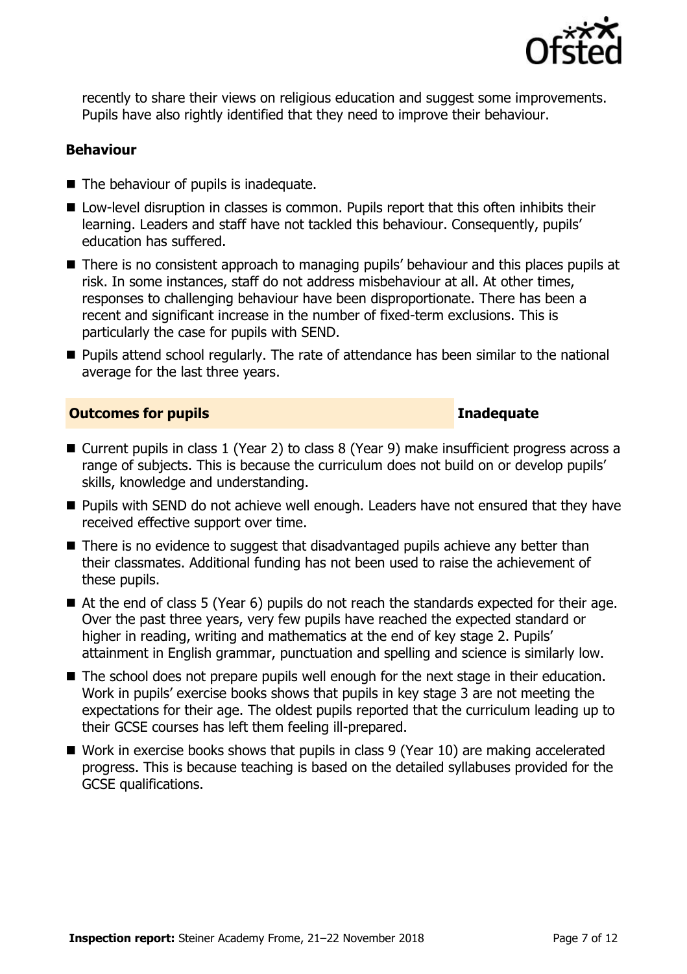

recently to share their views on religious education and suggest some improvements. Pupils have also rightly identified that they need to improve their behaviour.

#### **Behaviour**

- $\blacksquare$  The behaviour of pupils is inadequate.
- Low-level disruption in classes is common. Pupils report that this often inhibits their learning. Leaders and staff have not tackled this behaviour. Consequently, pupils' education has suffered.
- There is no consistent approach to managing pupils' behaviour and this places pupils at risk. In some instances, staff do not address misbehaviour at all. At other times, responses to challenging behaviour have been disproportionate. There has been a recent and significant increase in the number of fixed-term exclusions. This is particularly the case for pupils with SEND.
- Pupils attend school regularly. The rate of attendance has been similar to the national average for the last three years.

#### **Outcomes for pupils Inadequate**

- Current pupils in class 1 (Year 2) to class 8 (Year 9) make insufficient progress across a range of subjects. This is because the curriculum does not build on or develop pupils' skills, knowledge and understanding.
- **Pupils with SEND do not achieve well enough. Leaders have not ensured that they have** received effective support over time.
- There is no evidence to suggest that disadvantaged pupils achieve any better than their classmates. Additional funding has not been used to raise the achievement of these pupils.
- At the end of class 5 (Year 6) pupils do not reach the standards expected for their age. Over the past three years, very few pupils have reached the expected standard or higher in reading, writing and mathematics at the end of key stage 2. Pupils' attainment in English grammar, punctuation and spelling and science is similarly low.
- The school does not prepare pupils well enough for the next stage in their education. Work in pupils' exercise books shows that pupils in key stage 3 are not meeting the expectations for their age. The oldest pupils reported that the curriculum leading up to their GCSE courses has left them feeling ill-prepared.
- Work in exercise books shows that pupils in class 9 (Year 10) are making accelerated progress. This is because teaching is based on the detailed syllabuses provided for the GCSE qualifications.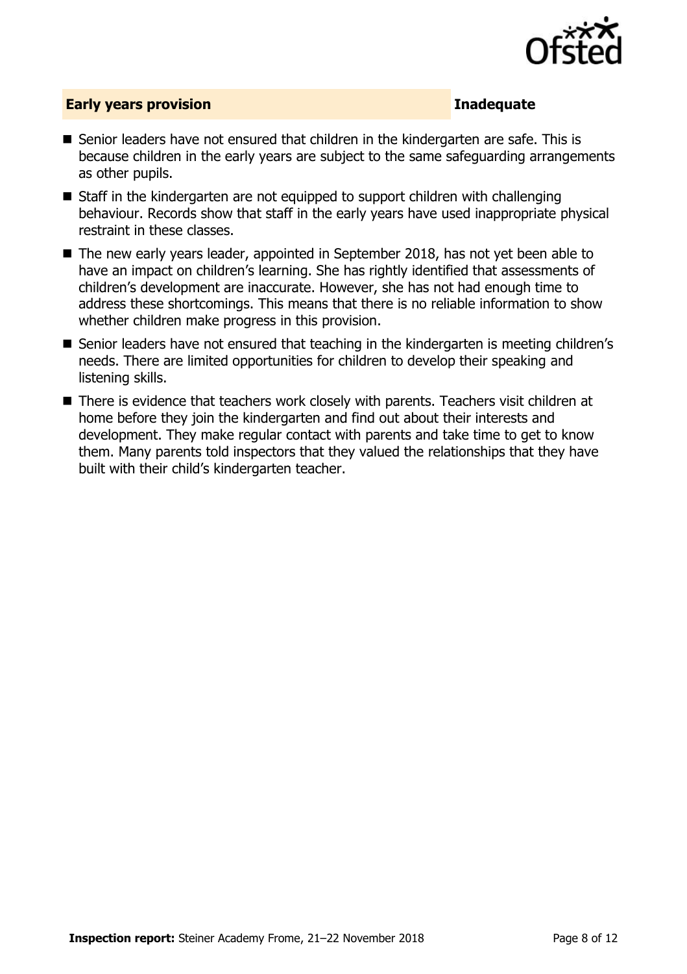

### **Early years provision Inadequate**

- Senior leaders have not ensured that children in the kindergarten are safe. This is because children in the early years are subject to the same safeguarding arrangements as other pupils.
- Staff in the kindergarten are not equipped to support children with challenging behaviour. Records show that staff in the early years have used inappropriate physical restraint in these classes.
- The new early years leader, appointed in September 2018, has not yet been able to have an impact on children's learning. She has rightly identified that assessments of children's development are inaccurate. However, she has not had enough time to address these shortcomings. This means that there is no reliable information to show whether children make progress in this provision.
- Senior leaders have not ensured that teaching in the kindergarten is meeting children's needs. There are limited opportunities for children to develop their speaking and listening skills.
- There is evidence that teachers work closely with parents. Teachers visit children at home before they join the kindergarten and find out about their interests and development. They make regular contact with parents and take time to get to know them. Many parents told inspectors that they valued the relationships that they have built with their child's kindergarten teacher.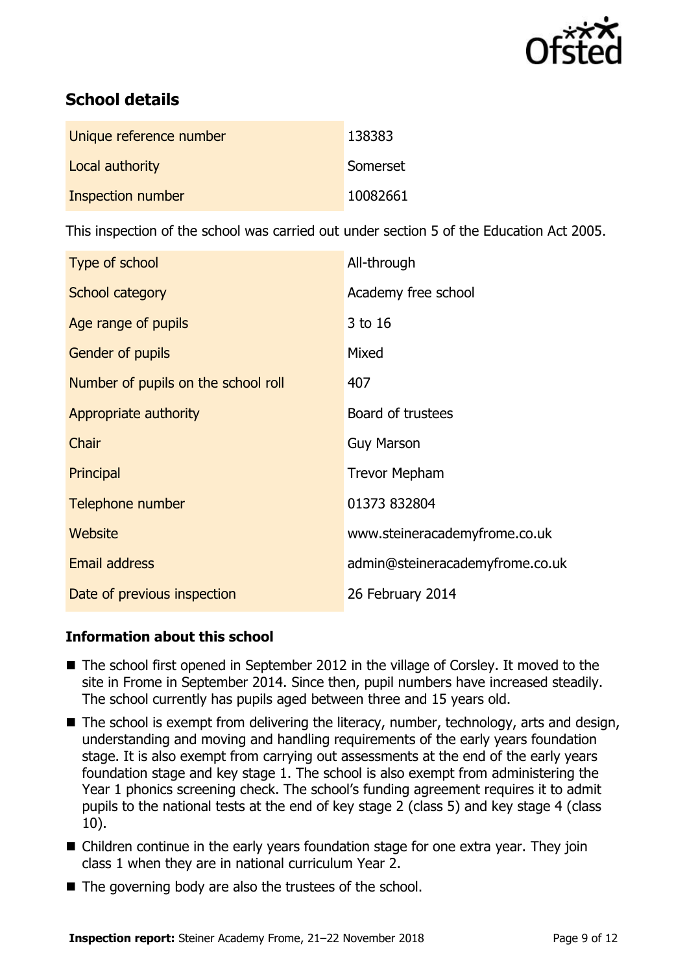

## **School details**

| Unique reference number | 138383   |
|-------------------------|----------|
| Local authority         | Somerset |
| Inspection number       | 10082661 |

This inspection of the school was carried out under section 5 of the Education Act 2005.

| Type of school                      | All-through                     |
|-------------------------------------|---------------------------------|
| School category                     | Academy free school             |
| Age range of pupils                 | 3 to 16                         |
| <b>Gender of pupils</b>             | Mixed                           |
| Number of pupils on the school roll | 407                             |
| Appropriate authority               | Board of trustees               |
| Chair                               | <b>Guy Marson</b>               |
| Principal                           | <b>Trevor Mepham</b>            |
| Telephone number                    | 01373 832804                    |
| Website                             | www.steineracademyfrome.co.uk   |
| <b>Email address</b>                | admin@steineracademyfrome.co.uk |
| Date of previous inspection         | 26 February 2014                |

### **Information about this school**

- The school first opened in September 2012 in the village of Corsley. It moved to the site in Frome in September 2014. Since then, pupil numbers have increased steadily. The school currently has pupils aged between three and 15 years old.
- The school is exempt from delivering the literacy, number, technology, arts and design, understanding and moving and handling requirements of the early years foundation stage. It is also exempt from carrying out assessments at the end of the early years foundation stage and key stage 1. The school is also exempt from administering the Year 1 phonics screening check. The school's funding agreement requires it to admit pupils to the national tests at the end of key stage 2 (class 5) and key stage 4 (class 10).
- Children continue in the early years foundation stage for one extra year. They join class 1 when they are in national curriculum Year 2.
- $\blacksquare$  The governing body are also the trustees of the school.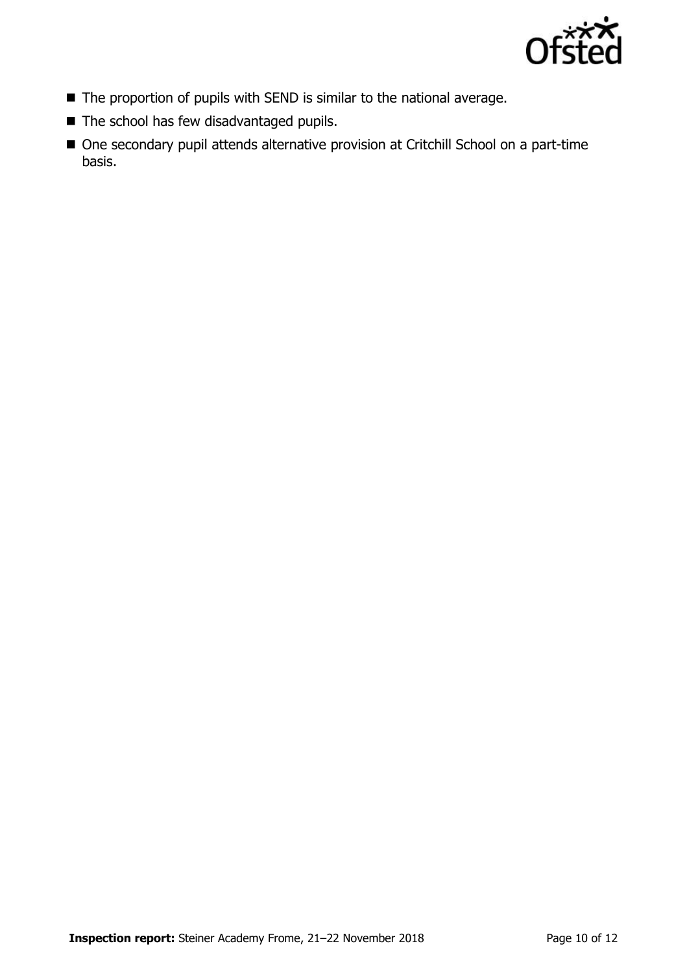

- The proportion of pupils with SEND is similar to the national average.
- The school has few disadvantaged pupils.
- One secondary pupil attends alternative provision at Critchill School on a part-time basis.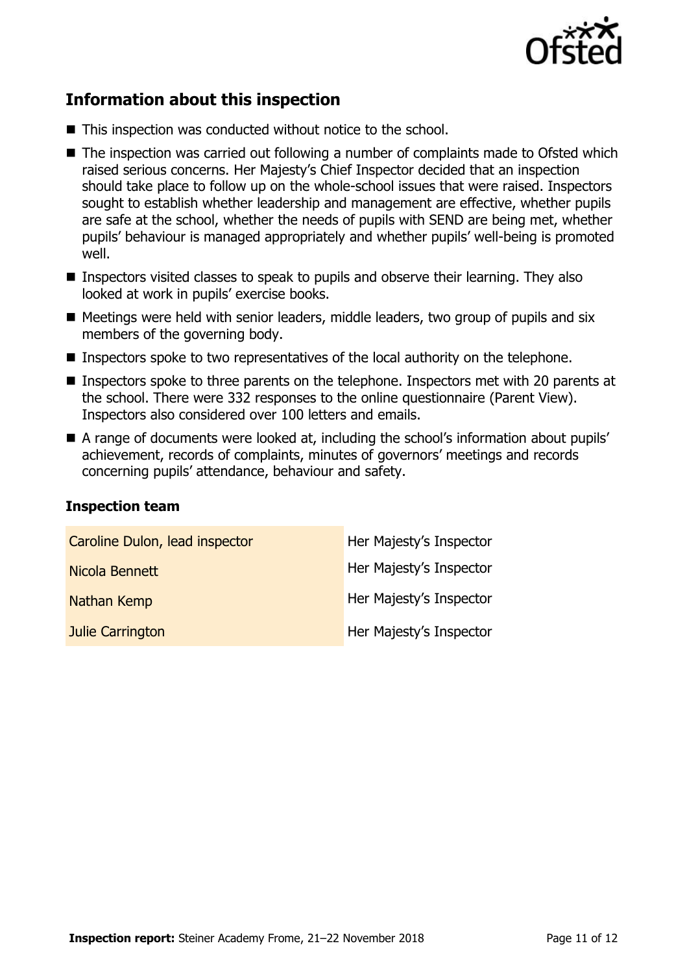

## **Information about this inspection**

- This inspection was conducted without notice to the school.
- The inspection was carried out following a number of complaints made to Ofsted which raised serious concerns. Her Majesty's Chief Inspector decided that an inspection should take place to follow up on the whole-school issues that were raised. Inspectors sought to establish whether leadership and management are effective, whether pupils are safe at the school, whether the needs of pupils with SEND are being met, whether pupils' behaviour is managed appropriately and whether pupils' well-being is promoted well.
- **Inspectors visited classes to speak to pupils and observe their learning. They also** looked at work in pupils' exercise books.
- Meetings were held with senior leaders, middle leaders, two group of pupils and six members of the governing body.
- **Inspectors spoke to two representatives of the local authority on the telephone.**
- Inspectors spoke to three parents on the telephone. Inspectors met with 20 parents at the school. There were 332 responses to the online questionnaire (Parent View). Inspectors also considered over 100 letters and emails.
- A range of documents were looked at, including the school's information about pupils' achievement, records of complaints, minutes of governors' meetings and records concerning pupils' attendance, behaviour and safety.

#### **Inspection team**

| Caroline Dulon, lead inspector | Her Majesty's Inspector |
|--------------------------------|-------------------------|
| Nicola Bennett                 | Her Majesty's Inspector |
| <b>Nathan Kemp</b>             | Her Majesty's Inspector |
| Julie Carrington               | Her Majesty's Inspector |